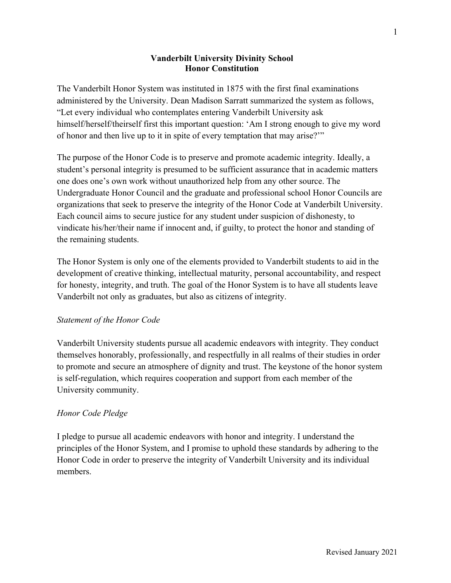## **Vanderbilt University Divinity School Honor Constitution**

The Vanderbilt Honor System was instituted in 1875 with the first final examinations administered by the University. Dean Madison Sarratt summarized the system as follows, "Let every individual who contemplates entering Vanderbilt University ask himself/herself/theirself first this important question: 'Am I strong enough to give my word of honor and then live up to it in spite of every temptation that may arise?'"

The purpose of the Honor Code is to preserve and promote academic integrity. Ideally, a student's personal integrity is presumed to be sufficient assurance that in academic matters one does one's own work without unauthorized help from any other source. The Undergraduate Honor Council and the graduate and professional school Honor Councils are organizations that seek to preserve the integrity of the Honor Code at Vanderbilt University. Each council aims to secure justice for any student under suspicion of dishonesty, to vindicate his/her/their name if innocent and, if guilty, to protect the honor and standing of the remaining students.

The Honor System is only one of the elements provided to Vanderbilt students to aid in the development of creative thinking, intellectual maturity, personal accountability, and respect for honesty, integrity, and truth. The goal of the Honor System is to have all students leave Vanderbilt not only as graduates, but also as citizens of integrity.

## *Statement of the Honor Code*

Vanderbilt University students pursue all academic endeavors with integrity. They conduct themselves honorably, professionally, and respectfully in all realms of their studies in order to promote and secure an atmosphere of dignity and trust. The keystone of the honor system is self-regulation, which requires cooperation and support from each member of the University community.

## *Honor Code Pledge*

I pledge to pursue all academic endeavors with honor and integrity. I understand the principles of the Honor System, and I promise to uphold these standards by adhering to the Honor Code in order to preserve the integrity of Vanderbilt University and its individual members.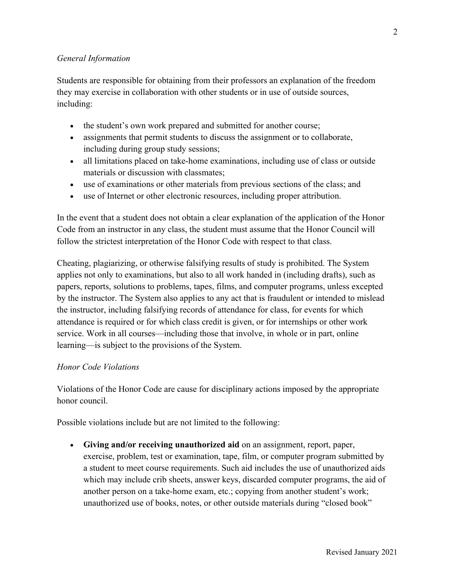## *General Information*

Students are responsible for obtaining from their professors an explanation of the freedom they may exercise in collaboration with other students or in use of outside sources, including:

- the student's own work prepared and submitted for another course;
- assignments that permit students to discuss the assignment or to collaborate, including during group study sessions;
- all limitations placed on take-home examinations, including use of class or outside materials or discussion with classmates;
- use of examinations or other materials from previous sections of the class; and
- use of Internet or other electronic resources, including proper attribution.

In the event that a student does not obtain a clear explanation of the application of the Honor Code from an instructor in any class, the student must assume that the Honor Council will follow the strictest interpretation of the Honor Code with respect to that class.

Cheating, plagiarizing, or otherwise falsifying results of study is prohibited. The System applies not only to examinations, but also to all work handed in (including drafts), such as papers, reports, solutions to problems, tapes, films, and computer programs, unless excepted by the instructor. The System also applies to any act that is fraudulent or intended to mislead the instructor, including falsifying records of attendance for class, for events for which attendance is required or for which class credit is given, or for internships or other work service. Work in all courses—including those that involve, in whole or in part, online learning—is subject to the provisions of the System.

## *Honor Code Violations*

Violations of the Honor Code are cause for disciplinary actions imposed by the appropriate honor council.

Possible violations include but are not limited to the following:

• **Giving and/or receiving unauthorized aid** on an assignment, report, paper, exercise, problem, test or examination, tape, film, or computer program submitted by a student to meet course requirements. Such aid includes the use of unauthorized aids which may include crib sheets, answer keys, discarded computer programs, the aid of another person on a take-home exam, etc.; copying from another student's work; unauthorized use of books, notes, or other outside materials during "closed book"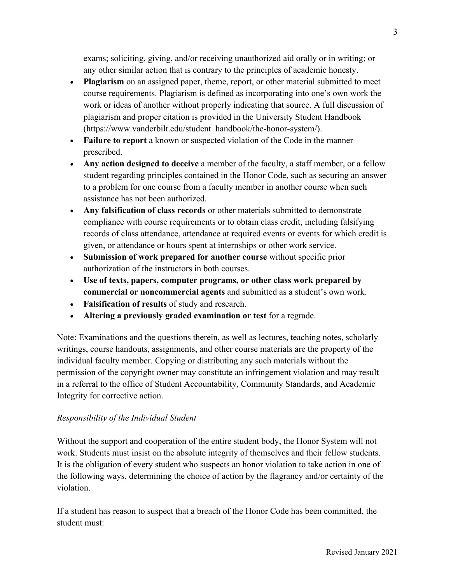exams; soliciting, giving, and/or receiving unauthorized aid orally or in writing; or any other similar action that is contrary to the principles of academic honesty.

- **Plagiarism** on an assigned paper, theme, report, or other material submitted to meet course requirements. Plagiarism is defined as incorporating into one's own work the work or ideas of another without properly indicating that source. A full discussion of plagiarism and proper citation is provided in the University Student Handbook (https://www.vanderbilt.edu/student\_handbook/the-honor-system/).
- **Failure to report** a known or suspected violation of the Code in the manner prescribed.
- **Any action designed to deceive** a member of the faculty, a staff member, or a fellow student regarding principles contained in the Honor Code, such as securing an answer to a problem for one course from a faculty member in another course when such assistance has not been authorized.
- **Any falsification of class records** or other materials submitted to demonstrate compliance with course requirements or to obtain class credit, including falsifying records of class attendance, attendance at required events or events for which credit is given, or attendance or hours spent at internships or other work service.
- **Submission of work prepared for another course** without specific prior authorization of the instructors in both courses.
- **Use of texts, papers, computer programs, or other class work prepared by commercial or noncommercial agents** and submitted as a student's own work.
- **Falsification of results** of study and research.
- **Altering a previously graded examination or test** for a regrade.

Note: Examinations and the questions therein, as well as lectures, teaching notes, scholarly writings, course handouts, assignments, and other course materials are the property of the individual faculty member. Copying or distributing any such materials without the permission of the copyright owner may constitute an infringement violation and may result in a referral to the office of Student Accountability, Community Standards, and Academic Integrity for corrective action.

# *Responsibility of the Individual Student*

Without the support and cooperation of the entire student body, the Honor System will not work. Students must insist on the absolute integrity of themselves and their fellow students. It is the obligation of every student who suspects an honor violation to take action in one of the following ways, determining the choice of action by the flagrancy and/or certainty of the violation.

If a student has reason to suspect that a breach of the Honor Code has been committed, the student must: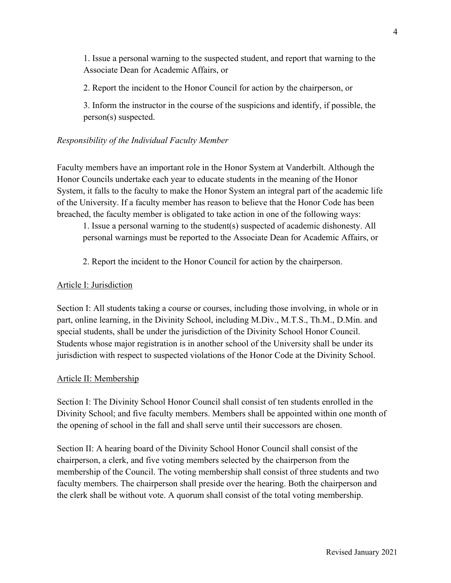1. Issue a personal warning to the suspected student, and report that warning to the Associate Dean for Academic Affairs, or

2. Report the incident to the Honor Council for action by the chairperson, or

3. Inform the instructor in the course of the suspicions and identify, if possible, the person(s) suspected.

## *Responsibility of the Individual Faculty Member*

Faculty members have an important role in the Honor System at Vanderbilt. Although the Honor Councils undertake each year to educate students in the meaning of the Honor System, it falls to the faculty to make the Honor System an integral part of the academic life of the University. If a faculty member has reason to believe that the Honor Code has been breached, the faculty member is obligated to take action in one of the following ways:

1. Issue a personal warning to the student(s) suspected of academic dishonesty. All personal warnings must be reported to the Associate Dean for Academic Affairs, or

2. Report the incident to the Honor Council for action by the chairperson.

## Article I: Jurisdiction

Section I: All students taking a course or courses, including those involving, in whole or in part, online learning, in the Divinity School, including M.Div., M.T.S., Th.M., D.Min. and special students, shall be under the jurisdiction of the Divinity School Honor Council. Students whose major registration is in another school of the University shall be under its jurisdiction with respect to suspected violations of the Honor Code at the Divinity School.

## Article II: Membership

Section I: The Divinity School Honor Council shall consist of ten students enrolled in the Divinity School; and five faculty members. Members shall be appointed within one month of the opening of school in the fall and shall serve until their successors are chosen.

Section II: A hearing board of the Divinity School Honor Council shall consist of the chairperson, a clerk, and five voting members selected by the chairperson from the membership of the Council. The voting membership shall consist of three students and two faculty members. The chairperson shall preside over the hearing. Both the chairperson and the clerk shall be without vote. A quorum shall consist of the total voting membership.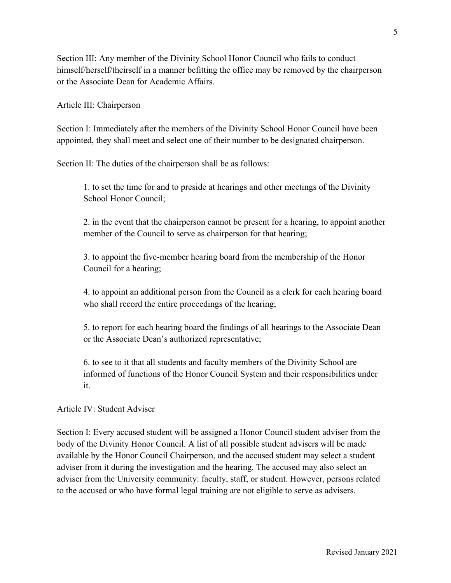Section III: Any member of the Divinity School Honor Council who fails to conduct himself/herself/theirself in a manner befitting the office may be removed by the chairperson or the Associate Dean for Academic Affairs.

#### Article III: Chairperson

Section I: Immediately after the members of the Divinity School Honor Council have been appointed, they shall meet and select one of their number to be designated chairperson.

Section II: The duties of the chairperson shall be as follows:

1. to set the time for and to preside at hearings and other meetings of the Divinity School Honor Council;

2. in the event that the chairperson cannot be present for a hearing, to appoint another member of the Council to serve as chairperson for that hearing;

3. to appoint the five-member hearing board from the membership of the Honor Council for a hearing;

4. to appoint an additional person from the Council as a clerk for each hearing board who shall record the entire proceedings of the hearing;

5. to report for each hearing board the findings of all hearings to the Associate Dean or the Associate Dean's authorized representative;

6. to see to it that all students and faculty members of the Divinity School are informed of functions of the Honor Council System and their responsibilities under it.

#### Article IV: Student Adviser

Section I: Every accused student will be assigned a Honor Council student adviser from the body of the Divinity Honor Council. A list of all possible student advisers will be made available by the Honor Council Chairperson, and the accused student may select a student adviser from it during the investigation and the hearing. The accused may also select an adviser from the University community: faculty, staff, or student. However, persons related to the accused or who have formal legal training are not eligible to serve as advisers.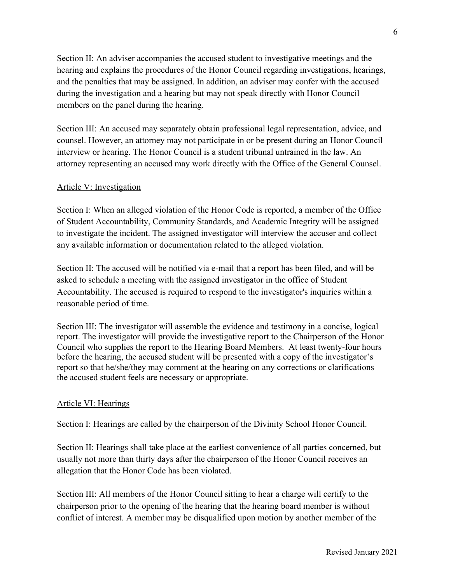Section II: An adviser accompanies the accused student to investigative meetings and the hearing and explains the procedures of the Honor Council regarding investigations, hearings, and the penalties that may be assigned. In addition, an adviser may confer with the accused during the investigation and a hearing but may not speak directly with Honor Council members on the panel during the hearing.

Section III: An accused may separately obtain professional legal representation, advice, and counsel. However, an attorney may not participate in or be present during an Honor Council interview or hearing. The Honor Council is a student tribunal untrained in the law. An attorney representing an accused may work directly with the Office of the General Counsel.

## Article V: Investigation

Section I: When an alleged violation of the Honor Code is reported, a member of the Office of Student Accountability, Community Standards, and Academic Integrity will be assigned to investigate the incident. The assigned investigator will interview the accuser and collect any available information or documentation related to the alleged violation.

Section II: The accused will be notified via e-mail that a report has been filed, and will be asked to schedule a meeting with the assigned investigator in the office of Student Accountability. The accused is required to respond to the investigator's inquiries within a reasonable period of time.

Section III: The investigator will assemble the evidence and testimony in a concise, logical report. The investigator will provide the investigative report to the Chairperson of the Honor Council who supplies the report to the Hearing Board Members. At least twenty-four hours before the hearing, the accused student will be presented with a copy of the investigator's report so that he/she/they may comment at the hearing on any corrections or clarifications the accused student feels are necessary or appropriate.

#### Article VI: Hearings

Section I: Hearings are called by the chairperson of the Divinity School Honor Council.

Section II: Hearings shall take place at the earliest convenience of all parties concerned, but usually not more than thirty days after the chairperson of the Honor Council receives an allegation that the Honor Code has been violated.

Section III: All members of the Honor Council sitting to hear a charge will certify to the chairperson prior to the opening of the hearing that the hearing board member is without conflict of interest. A member may be disqualified upon motion by another member of the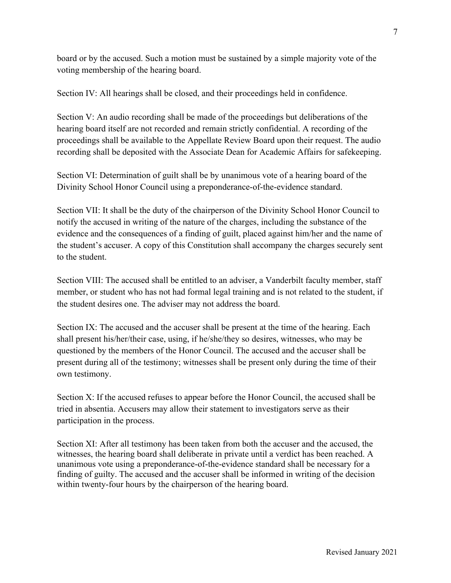board or by the accused. Such a motion must be sustained by a simple majority vote of the voting membership of the hearing board.

Section IV: All hearings shall be closed, and their proceedings held in confidence.

Section V: An audio recording shall be made of the proceedings but deliberations of the hearing board itself are not recorded and remain strictly confidential. A recording of the proceedings shall be available to the Appellate Review Board upon their request. The audio recording shall be deposited with the Associate Dean for Academic Affairs for safekeeping.

Section VI: Determination of guilt shall be by unanimous vote of a hearing board of the Divinity School Honor Council using a preponderance-of-the-evidence standard.

Section VII: It shall be the duty of the chairperson of the Divinity School Honor Council to notify the accused in writing of the nature of the charges, including the substance of the evidence and the consequences of a finding of guilt, placed against him/her and the name of the student's accuser. A copy of this Constitution shall accompany the charges securely sent to the student.

Section VIII: The accused shall be entitled to an adviser, a Vanderbilt faculty member, staff member, or student who has not had formal legal training and is not related to the student, if the student desires one. The adviser may not address the board.

Section IX: The accused and the accuser shall be present at the time of the hearing. Each shall present his/her/their case, using, if he/she/they so desires, witnesses, who may be questioned by the members of the Honor Council. The accused and the accuser shall be present during all of the testimony; witnesses shall be present only during the time of their own testimony.

Section X: If the accused refuses to appear before the Honor Council, the accused shall be tried in absentia. Accusers may allow their statement to investigators serve as their participation in the process.

Section XI: After all testimony has been taken from both the accuser and the accused, the witnesses, the hearing board shall deliberate in private until a verdict has been reached. A unanimous vote using a preponderance-of-the-evidence standard shall be necessary for a finding of guilty. The accused and the accuser shall be informed in writing of the decision within twenty-four hours by the chairperson of the hearing board.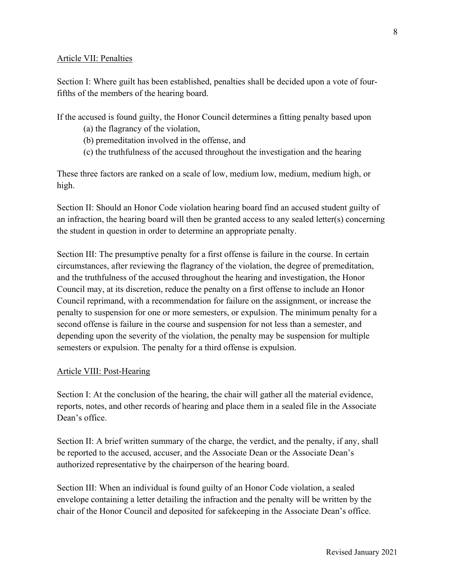#### Article VII: Penalties

Section I: Where guilt has been established, penalties shall be decided upon a vote of fourfifths of the members of the hearing board.

If the accused is found guilty, the Honor Council determines a fitting penalty based upon

- (a) the flagrancy of the violation,
- (b) premeditation involved in the offense, and
- (c) the truthfulness of the accused throughout the investigation and the hearing

These three factors are ranked on a scale of low, medium low, medium, medium high, or high.

Section II: Should an Honor Code violation hearing board find an accused student guilty of an infraction, the hearing board will then be granted access to any sealed letter(s) concerning the student in question in order to determine an appropriate penalty.

Section III: The presumptive penalty for a first offense is failure in the course. In certain circumstances, after reviewing the flagrancy of the violation, the degree of premeditation, and the truthfulness of the accused throughout the hearing and investigation, the Honor Council may, at its discretion, reduce the penalty on a first offense to include an Honor Council reprimand, with a recommendation for failure on the assignment, or increase the penalty to suspension for one or more semesters, or expulsion. The minimum penalty for a second offense is failure in the course and suspension for not less than a semester, and depending upon the severity of the violation, the penalty may be suspension for multiple semesters or expulsion. The penalty for a third offense is expulsion.

## Article VIII: Post-Hearing

Section I: At the conclusion of the hearing, the chair will gather all the material evidence, reports, notes, and other records of hearing and place them in a sealed file in the Associate Dean's office.

Section II: A brief written summary of the charge, the verdict, and the penalty, if any, shall be reported to the accused, accuser, and the Associate Dean or the Associate Dean's authorized representative by the chairperson of the hearing board.

Section III: When an individual is found guilty of an Honor Code violation, a sealed envelope containing a letter detailing the infraction and the penalty will be written by the chair of the Honor Council and deposited for safekeeping in the Associate Dean's office.